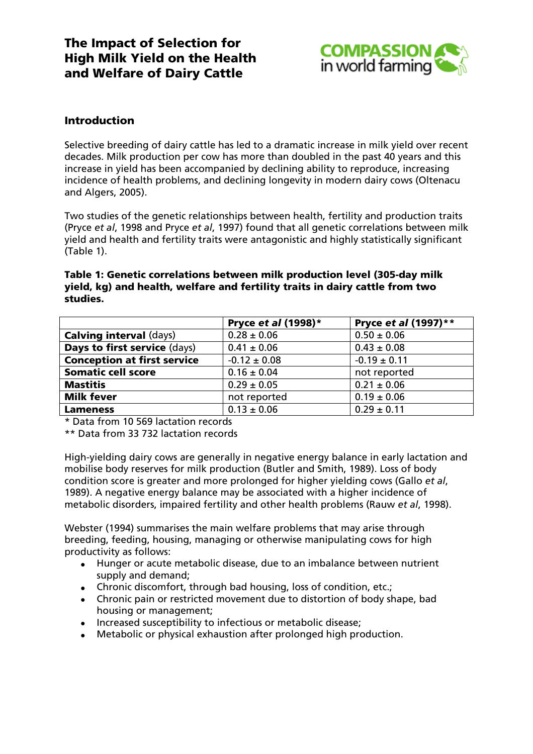

## Introduction

Selective breeding of dairy cattle has led to a dramatic increase in milk yield over recent decades. Milk production per cow has more than doubled in the past 40 years and this increase in yield has been accompanied by declining ability to reproduce, increasing incidence of health problems, and declining longevity in modern dairy cows (Oltenacu and Algers, 2005).

Two studies of the genetic relationships between health, fertility and production traits (Pryce *et al*, 1998 and Pryce *et al*, 1997) found that all genetic correlations between milk yield and health and fertility traits were antagonistic and highly statistically significant (Table 1).

#### Table 1: Genetic correlations between milk production level (305-day milk yield, kg) and health, welfare and fertility traits in dairy cattle from two studies.

|                                     | Pryce et al (1998)* | Pryce et al (1997)** |
|-------------------------------------|---------------------|----------------------|
| <b>Calving interval (days)</b>      | $0.28 \pm 0.06$     | $0.50 \pm 0.06$      |
| <b>Days to first service (days)</b> | $0.41 \pm 0.06$     | $0.43 \pm 0.08$      |
| <b>Conception at first service</b>  | $-0.12 \pm 0.08$    | $-0.19 \pm 0.11$     |
| <b>Somatic cell score</b>           | $0.16 \pm 0.04$     | not reported         |
| <b>Mastitis</b>                     | $0.29 \pm 0.05$     | $0.21 \pm 0.06$      |
| <b>Milk fever</b>                   | not reported        | $0.19 \pm 0.06$      |
| <b>Lameness</b>                     | $0.13 \pm 0.06$     | $0.29 \pm 0.11$      |

\* Data from 10 569 lactation records

\*\* Data from 33 732 lactation records

High-yielding dairy cows are generally in negative energy balance in early lactation and mobilise body reserves for milk production (Butler and Smith, 1989). Loss of body condition score is greater and more prolonged for higher yielding cows (Gallo *et al*, 1989). A negative energy balance may be associated with a higher incidence of metabolic disorders, impaired fertility and other health problems (Rauw *et al*, 1998).

Webster (1994) summarises the main welfare problems that may arise through breeding, feeding, housing, managing or otherwise manipulating cows for high productivity as follows:

- Hunger or acute metabolic disease, due to an imbalance between nutrient supply and demand;
- Chronic discomfort, through bad housing, loss of condition, etc.;
- Chronic pain or restricted movement due to distortion of body shape, bad housing or management;
- Increased susceptibility to infectious or metabolic disease;
- Metabolic or physical exhaustion after prolonged high production.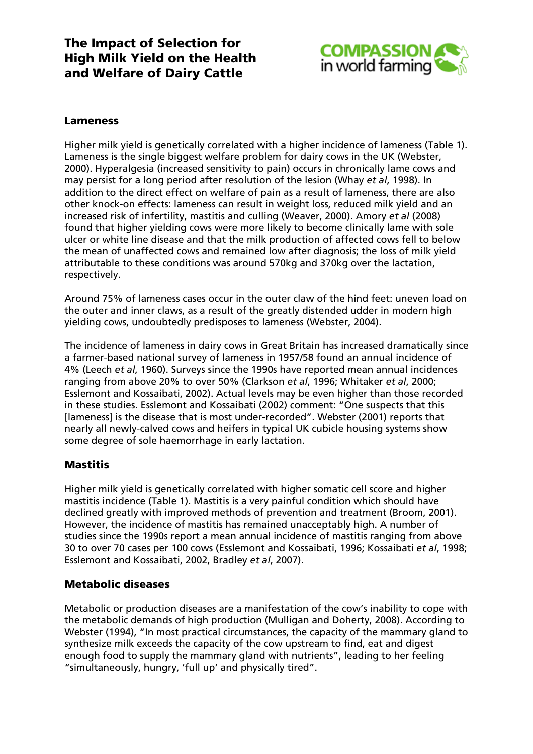

### Lameness

Higher milk yield is genetically correlated with a higher incidence of lameness (Table 1). Lameness is the single biggest welfare problem for dairy cows in the UK (Webster, 2000). Hyperalgesia (increased sensitivity to pain) occurs in chronically lame cows and may persist for a long period after resolution of the lesion (Whay *et al*, 1998). In addition to the direct effect on welfare of pain as a result of lameness, there are also other knock-on effects: lameness can result in weight loss, reduced milk yield and an increased risk of infertility, mastitis and culling (Weaver, 2000). Amory *et al* (2008) found that higher yielding cows were more likely to become clinically lame with sole ulcer or white line disease and that the milk production of affected cows fell to below the mean of unaffected cows and remained low after diagnosis; the loss of milk yield attributable to these conditions was around 570kg and 370kg over the lactation, respectively.

Around 75% of lameness cases occur in the outer claw of the hind feet: uneven load on the outer and inner claws, as a result of the greatly distended udder in modern high yielding cows, undoubtedly predisposes to lameness (Webster, 2004).

The incidence of lameness in dairy cows in Great Britain has increased dramatically since a farmer-based national survey of lameness in 1957/58 found an annual incidence of 4% (Leech *et al*, 1960). Surveys since the 1990s have reported mean annual incidences ranging from above 20% to over 50% (Clarkson *et al*, 1996; Whitaker *et al*, 2000; Esslemont and Kossaibati, 2002). Actual levels may be even higher than those recorded in these studies. Esslemont and Kossaibati (2002) comment: "One suspects that this [lameness] is the disease that is most under-recorded". Webster (2001) reports that nearly all newly-calved cows and heifers in typical UK cubicle housing systems show some degree of sole haemorrhage in early lactation.

### **Mastitis**

Higher milk yield is genetically correlated with higher somatic cell score and higher mastitis incidence (Table 1). Mastitis is a very painful condition which should have declined greatly with improved methods of prevention and treatment (Broom, 2001). However, the incidence of mastitis has remained unacceptably high. A number of studies since the 1990s report a mean annual incidence of mastitis ranging from above 30 to over 70 cases per 100 cows (Esslemont and Kossaibati, 1996; Kossaibati *et al*, 1998; Esslemont and Kossaibati, 2002, Bradley *et al*, 2007).

#### Metabolic diseases

Metabolic or production diseases are a manifestation of the cow's inability to cope with the metabolic demands of high production (Mulligan and Doherty, 2008). According to Webster (1994), "In most practical circumstances, the capacity of the mammary gland to synthesize milk exceeds the capacity of the cow upstream to find, eat and digest enough food to supply the mammary gland with nutrients", leading to her feeling "simultaneously, hungry, 'full up' and physically tired".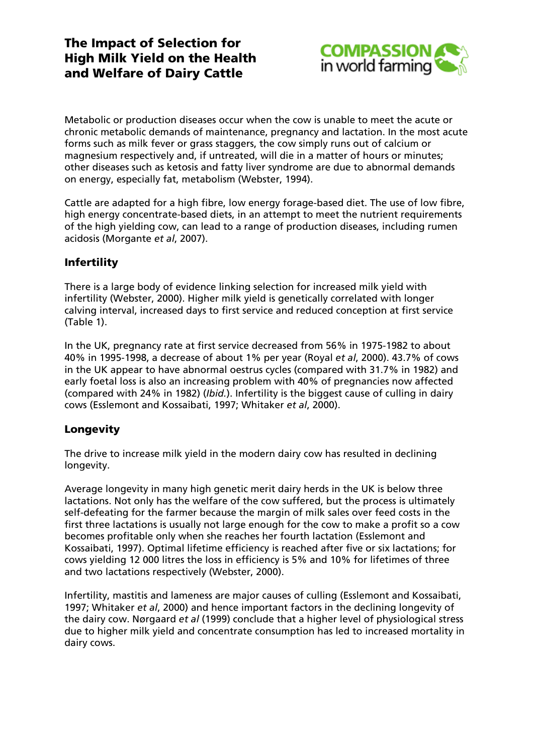

Metabolic or production diseases occur when the cow is unable to meet the acute or chronic metabolic demands of maintenance, pregnancy and lactation. In the most acute forms such as milk fever or grass staggers, the cow simply runs out of calcium or magnesium respectively and, if untreated, will die in a matter of hours or minutes; other diseases such as ketosis and fatty liver syndrome are due to abnormal demands on energy, especially fat, metabolism (Webster, 1994).

Cattle are adapted for a high fibre, low energy forage-based diet. The use of low fibre, high energy concentrate-based diets, in an attempt to meet the nutrient requirements of the high yielding cow, can lead to a range of production diseases, including rumen acidosis (Morgante *et al*, 2007).

# **Infertility**

There is a large body of evidence linking selection for increased milk yield with infertility (Webster, 2000). Higher milk yield is genetically correlated with longer calving interval, increased days to first service and reduced conception at first service (Table 1).

In the UK, pregnancy rate at first service decreased from 56% in 1975-1982 to about 40% in 1995-1998, a decrease of about 1% per year (Royal *et al*, 2000). 43.7% of cows in the UK appear to have abnormal oestrus cycles (compared with 31.7% in 1982) and early foetal loss is also an increasing problem with 40% of pregnancies now affected (compared with 24% in 1982) (*Ibid.*). Infertility is the biggest cause of culling in dairy cows (Esslemont and Kossaibati, 1997; Whitaker *et al*, 2000).

## **Longevity**

The drive to increase milk yield in the modern dairy cow has resulted in declining longevity.

Average longevity in many high genetic merit dairy herds in the UK is below three lactations. Not only has the welfare of the cow suffered, but the process is ultimately self-defeating for the farmer because the margin of milk sales over feed costs in the first three lactations is usually not large enough for the cow to make a profit so a cow becomes profitable only when she reaches her fourth lactation (Esslemont and Kossaibati, 1997). Optimal lifetime efficiency is reached after five or six lactations; for cows yielding 12 000 litres the loss in efficiency is 5% and 10% for lifetimes of three and two lactations respectively (Webster, 2000).

Infertility, mastitis and lameness are major causes of culling (Esslemont and Kossaibati, 1997; Whitaker *et al*, 2000) and hence important factors in the declining longevity of the dairy cow. Nørgaard *et al* (1999) conclude that a higher level of physiological stress due to higher milk yield and concentrate consumption has led to increased mortality in dairy cows.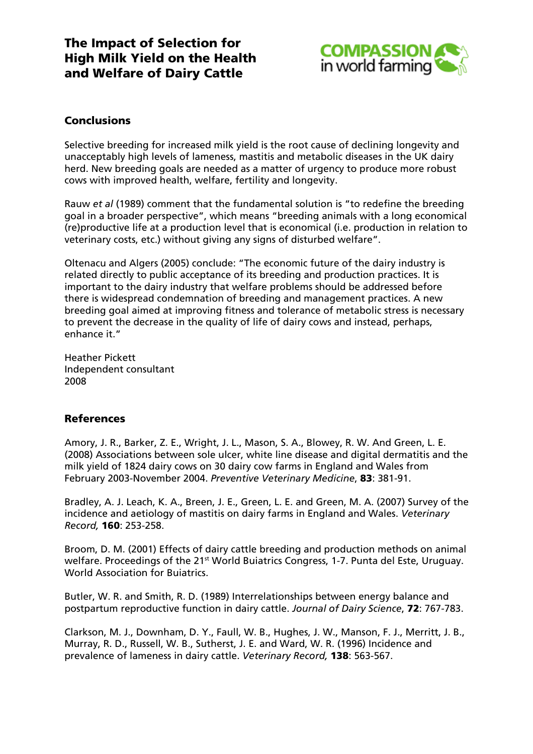

### **Conclusions**

Selective breeding for increased milk yield is the root cause of declining longevity and unacceptably high levels of lameness, mastitis and metabolic diseases in the UK dairy herd. New breeding goals are needed as a matter of urgency to produce more robust cows with improved health, welfare, fertility and longevity.

Rauw *et al* (1989) comment that the fundamental solution is "to redefine the breeding goal in a broader perspective", which means "breeding animals with a long economical (re)productive life at a production level that is economical (i.e. production in relation to veterinary costs, etc.) without giving any signs of disturbed welfare".

Oltenacu and Algers (2005) conclude: "The economic future of the dairy industry is related directly to public acceptance of its breeding and production practices. It is important to the dairy industry that welfare problems should be addressed before there is widespread condemnation of breeding and management practices. A new breeding goal aimed at improving fitness and tolerance of metabolic stress is necessary to prevent the decrease in the quality of life of dairy cows and instead, perhaps, enhance it."

Heather Pickett Independent consultant 2008

#### References

Amory, J. R., Barker, Z. E., Wright, J. L., Mason, S. A., Blowey, R. W. And Green, L. E. (2008) Associations between sole ulcer, white line disease and digital dermatitis and the milk yield of 1824 dairy cows on 30 dairy cow farms in England and Wales from February 2003-November 2004. *Preventive Veterinary Medicine*, 83: 381-91.

Bradley, A. J. Leach, K. A., Breen, J. E., Green, L. E. and Green, M. A. (2007) Survey of the incidence and aetiology of mastitis on dairy farms in England and Wales. *Veterinary Record,* 160: 253-258.

Broom, D. M. (2001) Effects of dairy cattle breeding and production methods on animal welfare. Proceedings of the 21<sup>st</sup> World Buiatrics Congress, 1-7. Punta del Este, Uruguay. World Association for Buiatrics.

Butler, W. R. and Smith, R. D. (1989) Interrelationships between energy balance and postpartum reproductive function in dairy cattle. *Journal of Dairy Science*, 72: 767-783.

Clarkson, M. J., Downham, D. Y., Faull, W. B., Hughes, J. W., Manson, F. J., Merritt, J. B., Murray, R. D., Russell, W. B., Sutherst, J. E. and Ward, W. R. (1996) Incidence and prevalence of lameness in dairy cattle. *Veterinary Record,* 138: 563-567.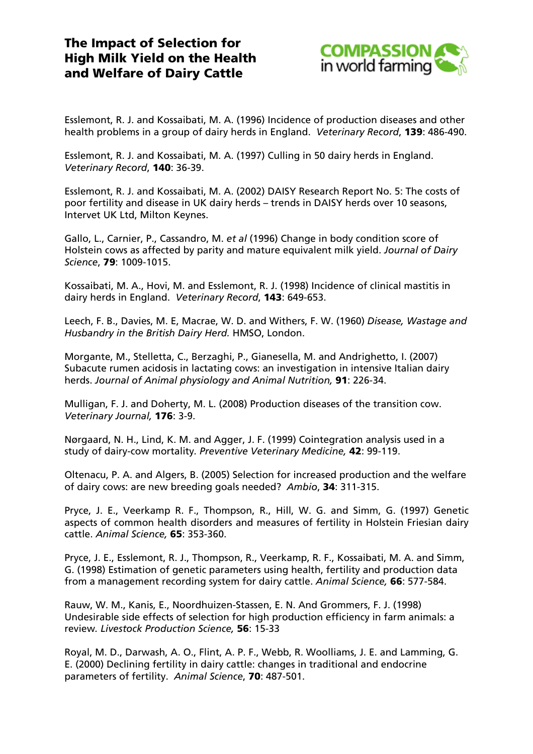

Esslemont, R. J. and Kossaibati, M. A. (1996) Incidence of production diseases and other health problems in a group of dairy herds in England. *Veterinary Record*, 139: 486-490.

Esslemont, R. J. and Kossaibati, M. A. (1997) Culling in 50 dairy herds in England. *Veterinary Record*, 140: 36-39.

Esslemont, R. J. and Kossaibati, M. A. (2002) DAISY Research Report No. 5: The costs of poor fertility and disease in UK dairy herds – trends in DAISY herds over 10 seasons, Intervet UK Ltd, Milton Keynes.

Gallo, L., Carnier, P., Cassandro, M. *et al* (1996) Change in body condition score of Holstein cows as affected by parity and mature equivalent milk yield. *Journal of Dairy Science*, 79: 1009-1015.

Kossaibati, M. A., Hovi, M. and Esslemont, R. J. (1998) Incidence of clinical mastitis in dairy herds in England. *Veterinary Record*, 143: 649-653.

Leech, F. B., Davies, M. E, Macrae, W. D. and Withers, F. W. (1960) *Disease, Wastage and Husbandry in the British Dairy Herd.* HMSO, London.

Morgante, M., Stelletta, C., Berzaghi, P., Gianesella, M. and Andrighetto, I. (2007) Subacute rumen acidosis in lactating cows: an investigation in intensive Italian dairy herds. *Journal of Animal physiology and Animal Nutrition,* 91: 226-34.

Mulligan, F. J. and Doherty, M. L. (2008) Production diseases of the transition cow. *Veterinary Journal,* 176: 3-9.

Nørgaard, N. H., Lind, K. M. and Agger, J. F. (1999) Cointegration analysis used in a study of dairy-cow mortality*. Preventive Veterinary Medicine,* 42: 99-119.

Oltenacu, P. A. and Algers, B. (2005) Selection for increased production and the welfare of dairy cows: are new breeding goals needed? *Ambio*, 34: 311-315.

Pryce, J. E., Veerkamp R. F., Thompson, R., Hill, W. G. and Simm, G. (1997) Genetic aspects of common health disorders and measures of fertility in Holstein Friesian dairy cattle. *Animal Science,* 65: 353-360.

Pryce, J. E., Esslemont, R. J., Thompson, R., Veerkamp, R. F., Kossaibati, M. A. and Simm, G. (1998) Estimation of genetic parameters using health, fertility and production data from a management recording system for dairy cattle. *Animal Science,* 66: 577-584.

Rauw, W. M., Kanis, E., Noordhuizen-Stassen, E. N. And Grommers, F. J. (1998) Undesirable side effects of selection for high production efficiency in farm animals: a review*. Livestock Production Science,* 56: 15-33

Royal, M. D., Darwash, A. O., Flint, A. P. F., Webb, R. Woolliams, J. E. and Lamming, G. E. (2000) Declining fertility in dairy cattle: changes in traditional and endocrine parameters of fertility. *Animal Science*, 70: 487-501.